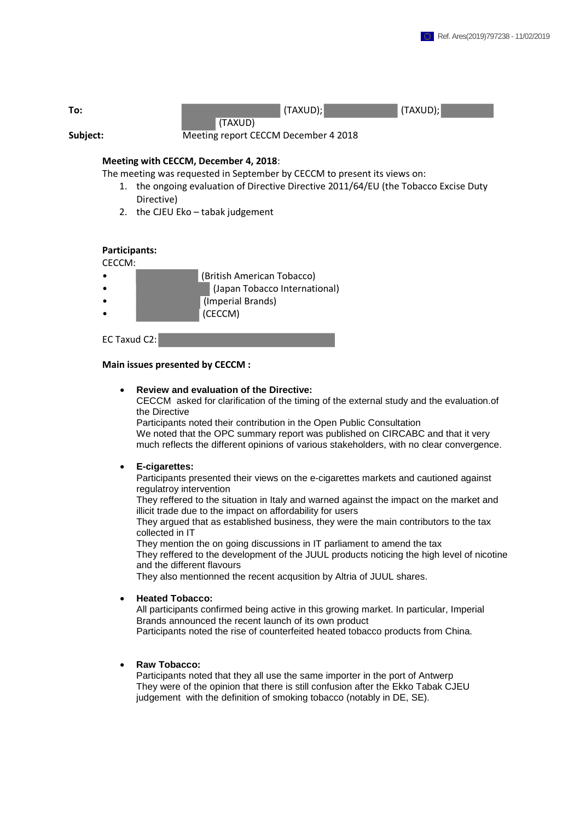

## **Meeting with CECCM, December 4, 2018**:

The meeting was requested in September by CECCM to present its views on:

- 1. the ongoing evaluation of Directive Directive 2011/64/EU (the Tobacco Excise Duty Directive)
- 2. the CJEU Eko tabak judgement

# **Participants:**

CECCM:

- (British American Tobacco)
	- (Japan Tobacco International)
	- (Imperial Brands)
		- (CECCM)

## EC Taxud C2:

#### **Main issues presented by CECCM :**

#### • **Review and evaluation of the Directive:**

CECCM asked for clarification of the timing of the external study and the evaluation.of the Directive

Participants noted their contribution in the Open Public Consultation We noted that the OPC summary report was published on CIRCABC and that it very much reflects the different opinions of various stakeholders, with no clear convergence.

#### • **E-cigarettes:**

Participants presented their views on the e-cigarettes markets and cautioned against regulatroy intervention

They reffered to the situation in Italy and warned against the impact on the market and illicit trade due to the impact on affordability for users

They argued that as established business, they were the main contributors to the tax collected in IT

They mention the on going discussions in IT parliament to amend the tax They reffered to the development of the JUUL products noticing the high level of nicotine and the different flavours

They also mentionned the recent acqusition by Altria of JUUL shares.

## • **Heated Tobacco:**

All participants confirmed being active in this growing market. In particular, Imperial Brands announced the recent launch of its own product Participants noted the rise of counterfeited heated tobacco products from China.

### • **Raw Tobacco:**

Participants noted that they all use the same importer in the port of Antwerp They were of the opinion that there is still confusion after the Ekko Tabak CJEU judgement with the definition of smoking tobacco (notably in DE, SE).